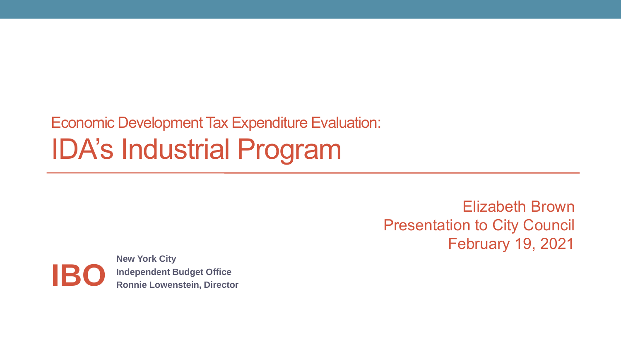#### Economic Development Tax Expenditure Evaluation: IDA's Industrial Program

Elizabeth Brown Presentation to City Council February 19, 2021

**New York City Independent Budget Office IBO Ronnie Lowenstein, Director**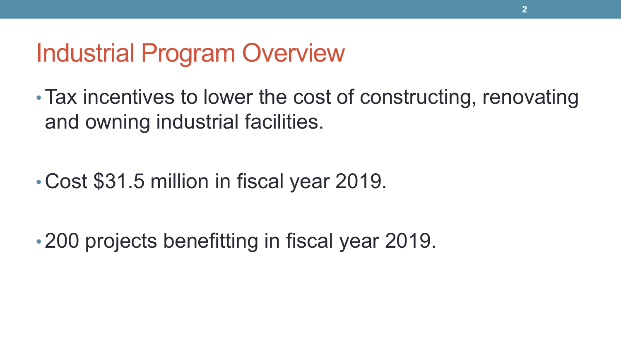#### Industrial Program Overview

• Tax incentives to lower the cost of constructing, renovating and owning industrial facilities.

• Cost \$31.5 million in fiscal year 2019.

• 200 projects benefitting in fiscal year 2019.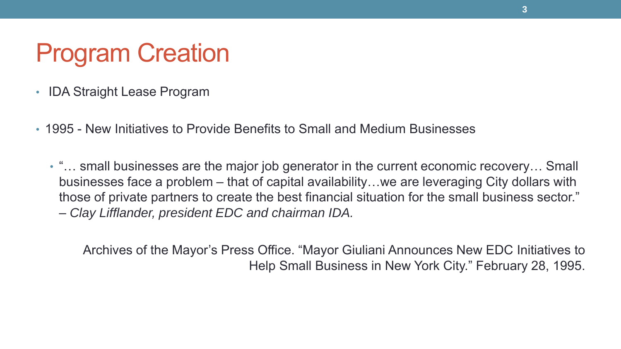### Program Creation

- IDA Straight Lease Program
- 1995 New Initiatives to Provide Benefits to Small and Medium Businesses
	- "… small businesses are the major job generator in the current economic recovery… Small businesses face a problem – that of capital availability…we are leveraging City dollars with those of private partners to create the best financial situation for the small business sector." – *Clay Lifflander, president EDC and chairman IDA.*

Archives of the Mayor's Press Office. "Mayor Giuliani Announces New EDC Initiatives to Help Small Business in New York City." February 28, 1995.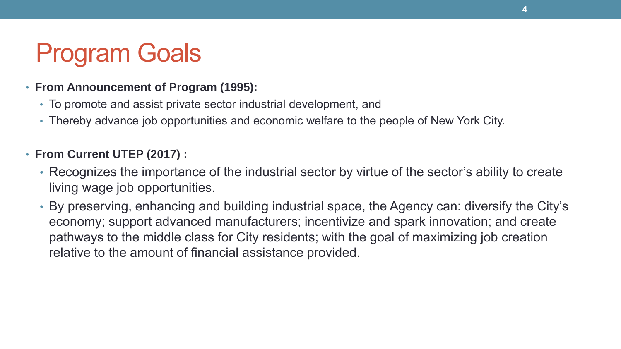# Program Goals

#### • **From Announcement of Program (1995):**

- To promote and assist private sector industrial development, and
- Thereby advance job opportunities and economic welfare to the people of New York City.

#### • **From Current UTEP (2017) :**

- Recognizes the importance of the industrial sector by virtue of the sector's ability to create living wage job opportunities.
- By preserving, enhancing and building industrial space, the Agency can: diversify the City's economy; support advanced manufacturers; incentivize and spark innovation; and create pathways to the middle class for City residents; with the goal of maximizing job creation relative to the amount of financial assistance provided.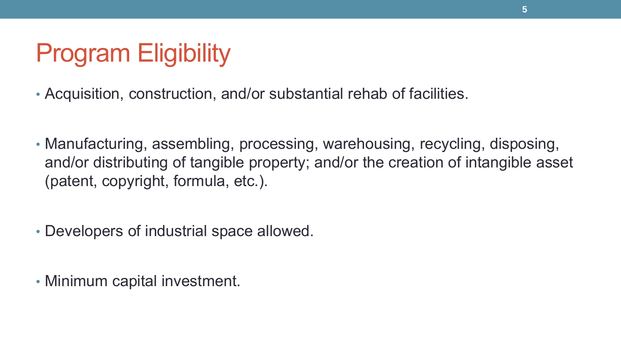# Program Eligibility

- Acquisition, construction, and/or substantial rehab of facilities.
- Manufacturing, assembling, processing, warehousing, recycling, disposing, and/or distributing of tangible property; and/or the creation of intangible asset (patent, copyright, formula, etc.).
- Developers of industrial space allowed.
- Minimum capital investment.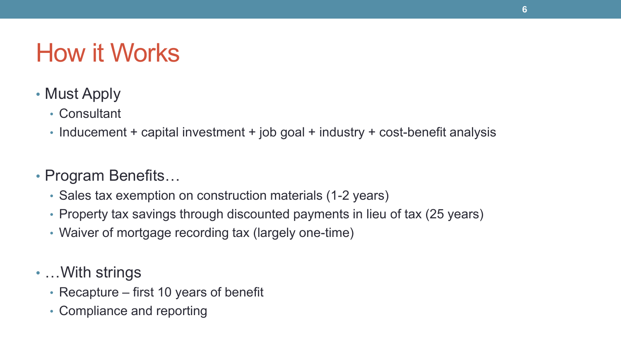## How it Works

- Must Apply
	- Consultant
	- Inducement + capital investment + job goal + industry + cost-benefit analysis
- Program Benefits…
	- Sales tax exemption on construction materials (1-2 years)
	- Property tax savings through discounted payments in lieu of tax (25 years)
	- Waiver of mortgage recording tax (largely one-time)
- …With strings
	- Recapture first 10 years of benefit
	- Compliance and reporting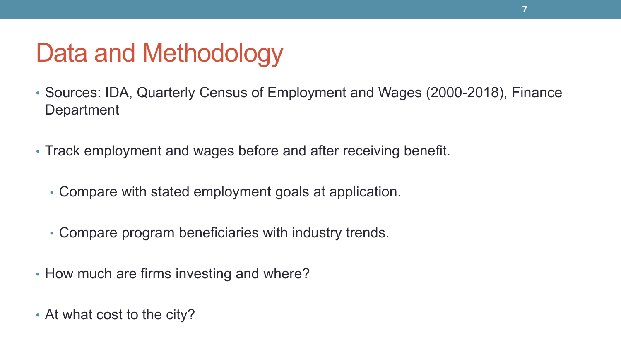## Data and Methodology

- Sources: IDA, Quarterly Census of Employment and Wages (2000-2018), Finance **Department**
- Track employment and wages before and after receiving benefit.
	- Compare with stated employment goals at application.
	- Compare program beneficiaries with industry trends.
- How much are firms investing and where?
- At what cost to the city?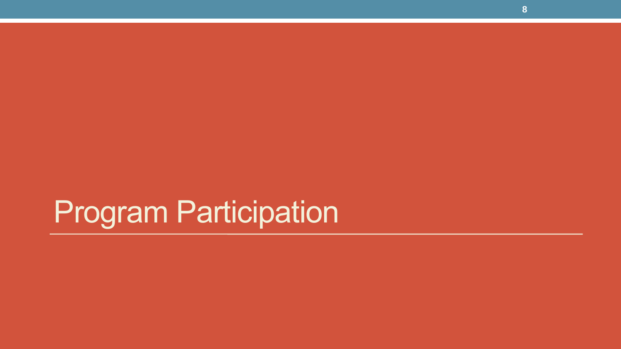# Program Participation

**8**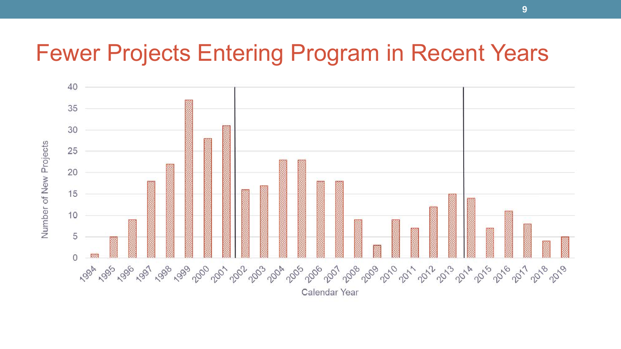#### Fewer Projects Entering Program in Recent Years

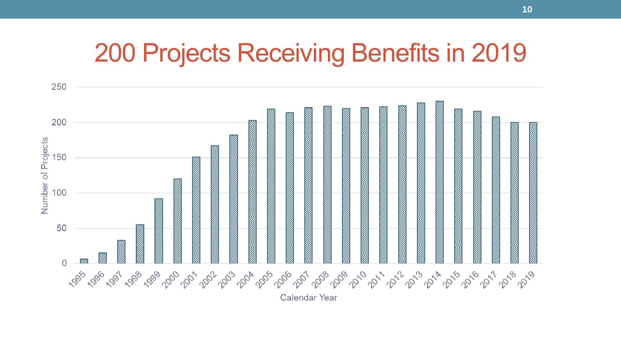#### 200 Projects Receiving Benefits in 2019

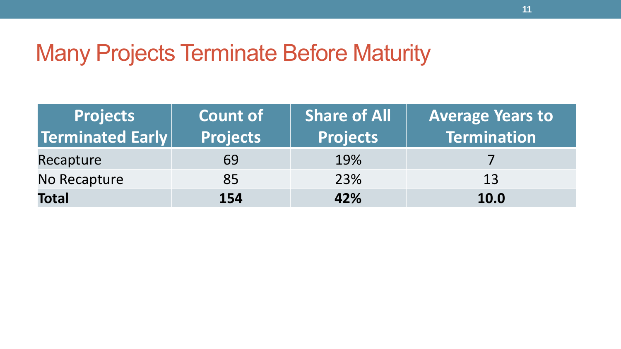#### Many Projects Terminate Before Maturity

| <b>Projects</b>  | <b>Count of</b> | <b>Share of All</b> | <b>Average Years to</b> |
|------------------|-----------------|---------------------|-------------------------|
| Terminated Early | <b>Projects</b> | <b>Projects</b>     | Termination             |
| Recapture        | 69              | 19%                 |                         |
| No Recapture     | 85              | 23%                 | 13                      |
| <b>Total</b>     | 154             | 42%                 | <b>10.0</b>             |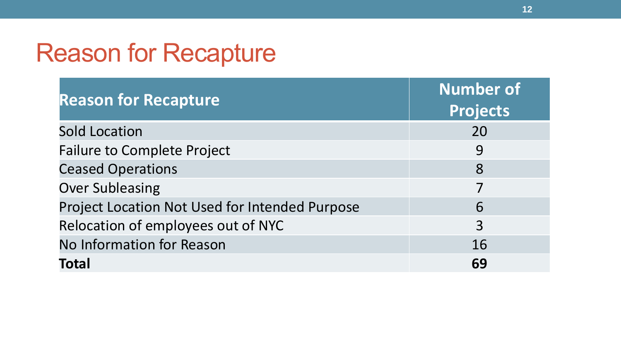#### Reason for Recapture

| <b>Reason for Recapture</b>                    | <b>Number of</b><br><b>Projects</b> |
|------------------------------------------------|-------------------------------------|
| <b>Sold Location</b>                           | 20                                  |
| <b>Failure to Complete Project</b>             | 9                                   |
| <b>Ceased Operations</b>                       | 8                                   |
| <b>Over Subleasing</b>                         |                                     |
| Project Location Not Used for Intended Purpose | 6                                   |
| Relocation of employees out of NYC             | 3                                   |
| <b>No Information for Reason</b>               | 16                                  |
| <b>Total</b>                                   | 69                                  |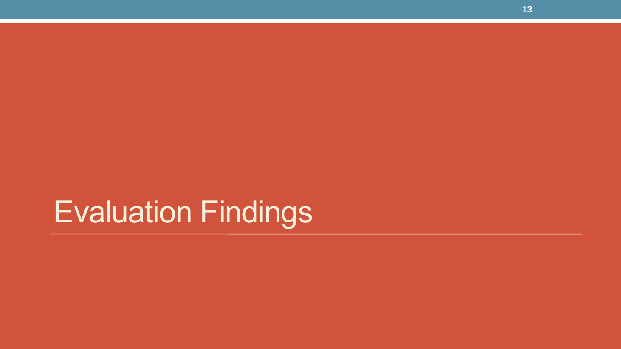# Evaluation Findings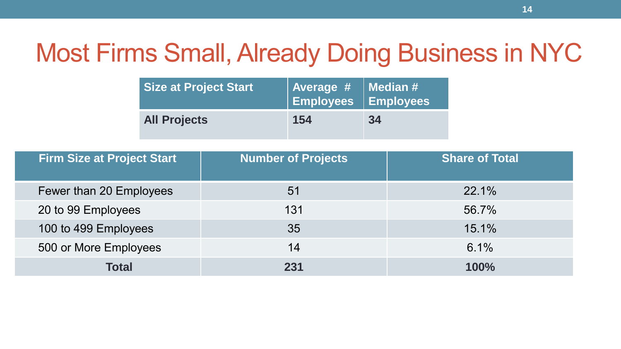# Most Firms Small, Already Doing Business in NYC

| <b>Size at Project Start</b> | Average #   Median #<br>$\parallel$ Employees $\top$ Employees |    |
|------------------------------|----------------------------------------------------------------|----|
| <b>All Projects</b>          | 154                                                            | 34 |

| <b>Firm Size at Project Start</b> | <b>Number of Projects</b> | <b>Share of Total</b> |
|-----------------------------------|---------------------------|-----------------------|
| Fewer than 20 Employees           | 51                        | 22.1%                 |
| 20 to 99 Employees                | 131                       | 56.7%                 |
| 100 to 499 Employees              | 35                        | 15.1%                 |
| 500 or More Employees             | 14                        | 6.1%                  |
| <b>Total</b>                      | 231                       | <b>100%</b>           |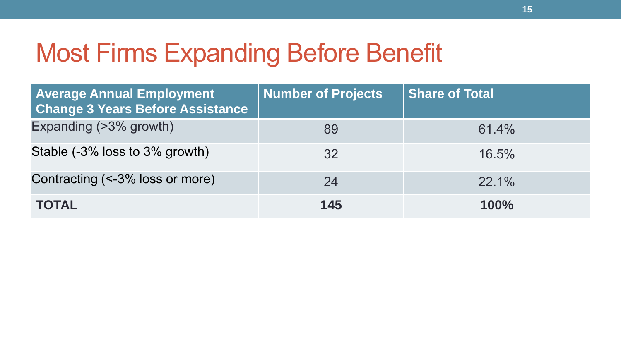### Most Firms Expanding Before Benefit

| <b>Average Annual Employment</b><br><b>Change 3 Years Before Assistance</b> | <b>Number of Projects</b> | <b>Share of Total</b> |
|-----------------------------------------------------------------------------|---------------------------|-----------------------|
| Expanding (>3% growth)                                                      | 89                        | 61.4%                 |
| Stable (-3% loss to 3% growth)                                              | 32                        | 16.5%                 |
| Contracting (<-3% loss or more)                                             | 24                        | $22.1\%$              |
| <b>TOTAL</b>                                                                | 145                       | 100%                  |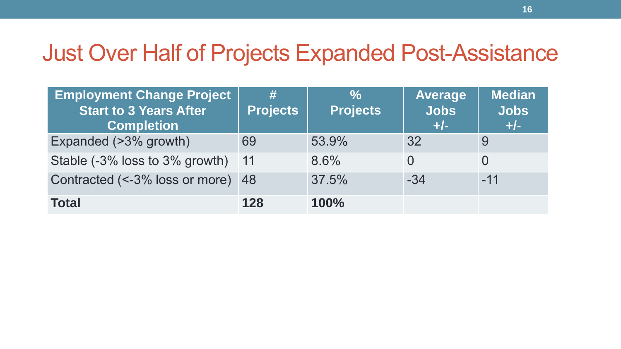#### Just Over Half of Projects Expanded Post-Assistance

| <b>Employment Change Project</b><br><b>Start to 3 Years After</b><br><b>Completion</b> | #<br><b>Projects</b> | $\frac{6}{6}$<br><b>Projects</b> | <b>Average</b><br><b>Jobs</b><br>$+/-$ | <b>Median</b><br><b>Jobs</b><br>$+/-$ |
|----------------------------------------------------------------------------------------|----------------------|----------------------------------|----------------------------------------|---------------------------------------|
| Expanded (>3% growth)                                                                  | 69                   | 53.9%                            | 32                                     | 9                                     |
| Stable (-3% loss to 3% growth)                                                         | 11                   | 8.6%                             |                                        |                                       |
| Contracted (<-3% loss or more) 48                                                      |                      | 37.5%                            | $-34$                                  | $-11$                                 |
| <b>Total</b>                                                                           | 128                  | 100%                             |                                        |                                       |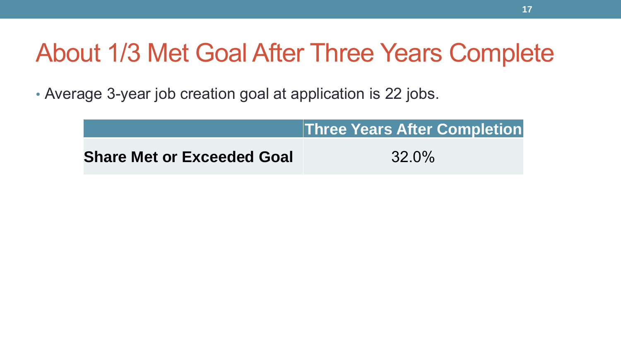### About 1/3 Met Goal After Three Years Complete

• Average 3-year job creation goal at application is 22 jobs.

|                                   | <b>Three Years After Completion</b> |
|-----------------------------------|-------------------------------------|
| <b>Share Met or Exceeded Goal</b> | $32.0\%$                            |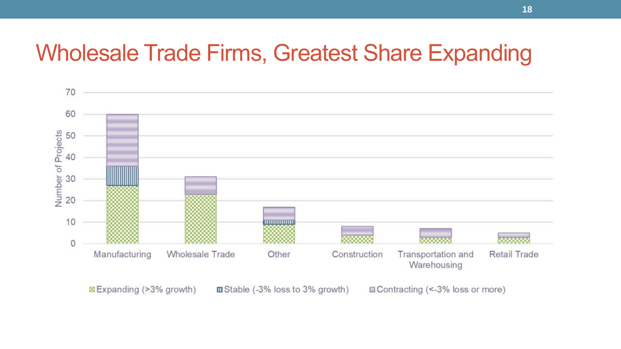#### Wholesale Trade Firms, Greatest Share Expanding

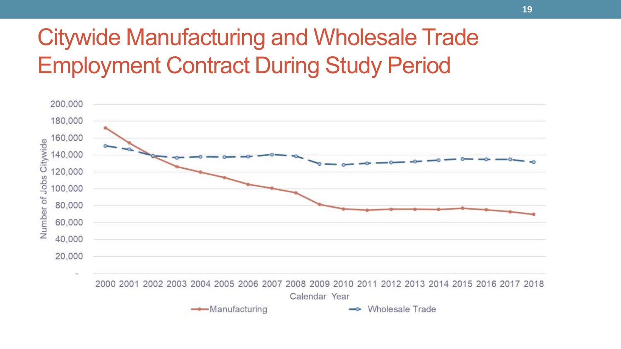#### Citywide Manufacturing and Wholesale Trade Employment Contract During Study Period



Calendar Year

 $\longrightarrow$ Manufacturing

**Wholesale Trade**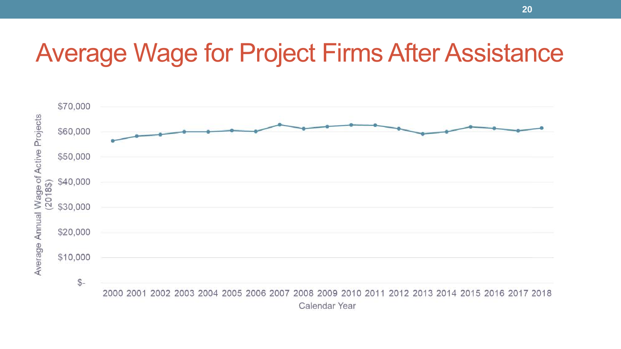#### Average Wage for Project Firms After Assistance

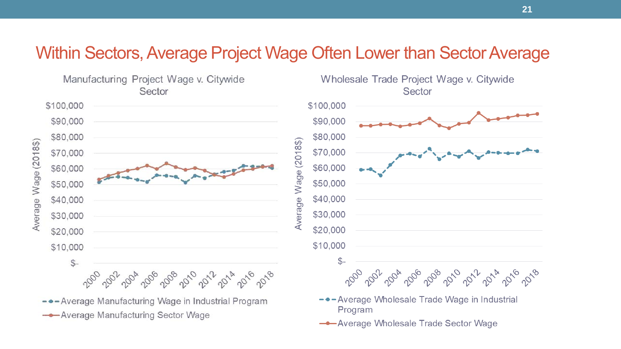#### Within Sectors, Average Project Wage Often Lower than Sector Average

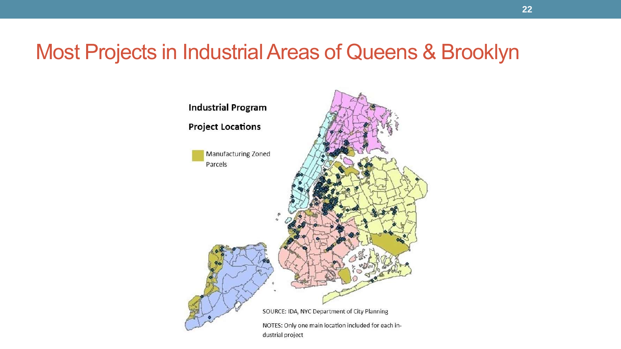#### Most Projects in Industrial Areas of Queens & Brooklyn

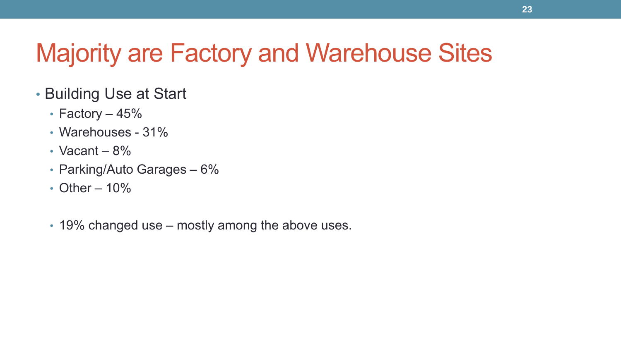# Majority are Factory and Warehouse Sites

- Building Use at Start
	- Factory 45%
	- Warehouses 31%
	- Vacant  $-8\%$
	- Parking/Auto Garages 6%
	- Other  $-10\%$
	- 19% changed use mostly among the above uses.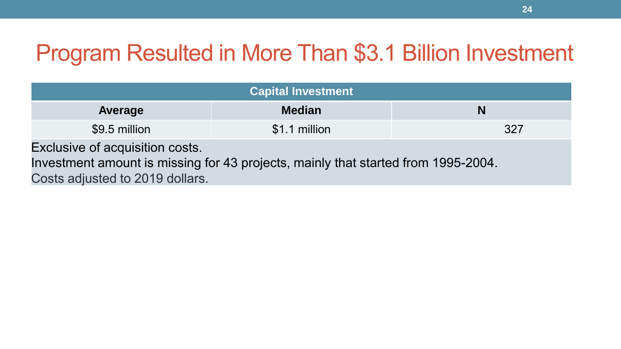#### Program Resulted in More Than \$3.1 Billion Investment

| Capital Investment                                                                                                                                      |               |     |  |  |
|---------------------------------------------------------------------------------------------------------------------------------------------------------|---------------|-----|--|--|
| Average                                                                                                                                                 | <b>Median</b> | N   |  |  |
| \$9.5 million                                                                                                                                           | \$1.1 million | 327 |  |  |
| Exclusive of acquisition costs.<br>Investment amount is missing for 43 projects, mainly that started from 1995-2004.<br>Costs adjusted to 2019 dollars. |               |     |  |  |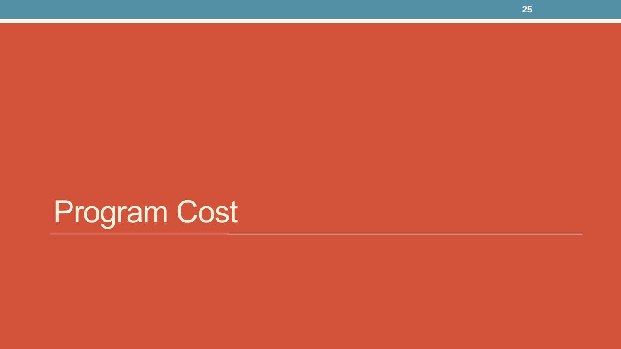# Program Cost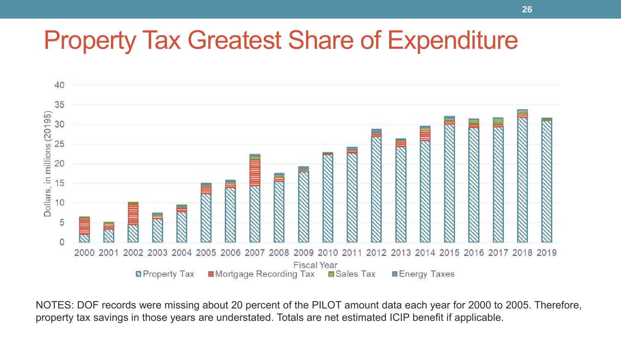#### Property Tax Greatest Share of Expenditure



NOTES: DOF records were missing about 20 percent of the PILOT amount data each year for 2000 to 2005. Therefore, property tax savings in those years are understated. Totals are net estimated ICIP benefit if applicable.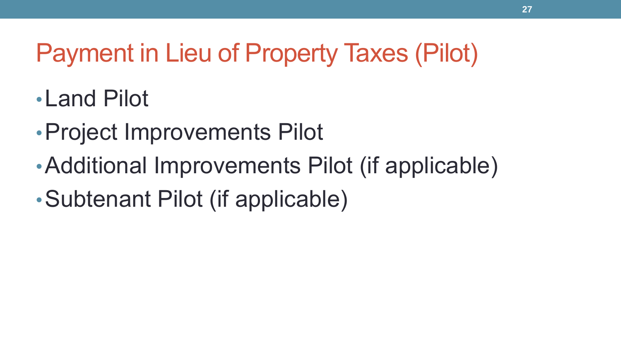# Payment in Lieu of Property Taxes (Pilot)

- •Land Pilot
- •Project Improvements Pilot
- •Additional Improvements Pilot (if applicable)
- •Subtenant Pilot (if applicable)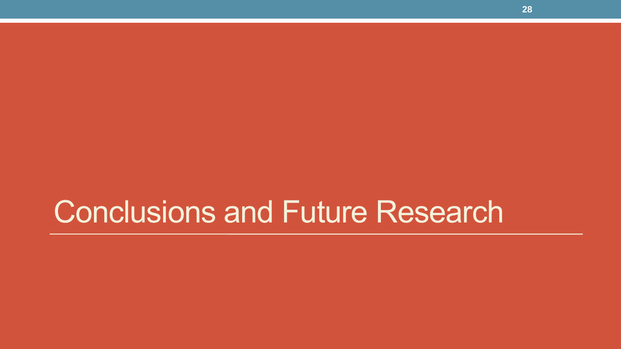# Conclusions and Future Research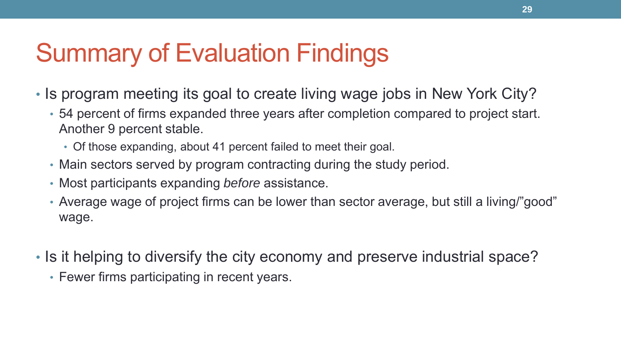## Summary of Evaluation Findings

- Is program meeting its goal to create living wage jobs in New York City?
	- 54 percent of firms expanded three years after completion compared to project start. Another 9 percent stable.
		- Of those expanding, about 41 percent failed to meet their goal.
	- Main sectors served by program contracting during the study period.
	- Most participants expanding *before* assistance.
	- Average wage of project firms can be lower than sector average, but still a living/"good" wage.
- Is it helping to diversify the city economy and preserve industrial space?
	- Fewer firms participating in recent years.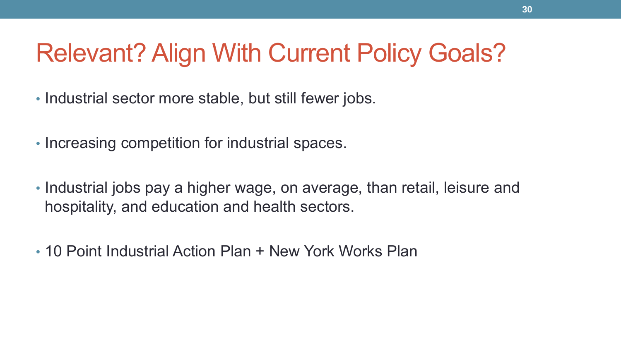### Relevant? Align With Current Policy Goals?

- Industrial sector more stable, but still fewer jobs.
- Increasing competition for industrial spaces.
- Industrial jobs pay a higher wage, on average, than retail, leisure and hospitality, and education and health sectors.
- 10 Point Industrial Action Plan + New York Works Plan